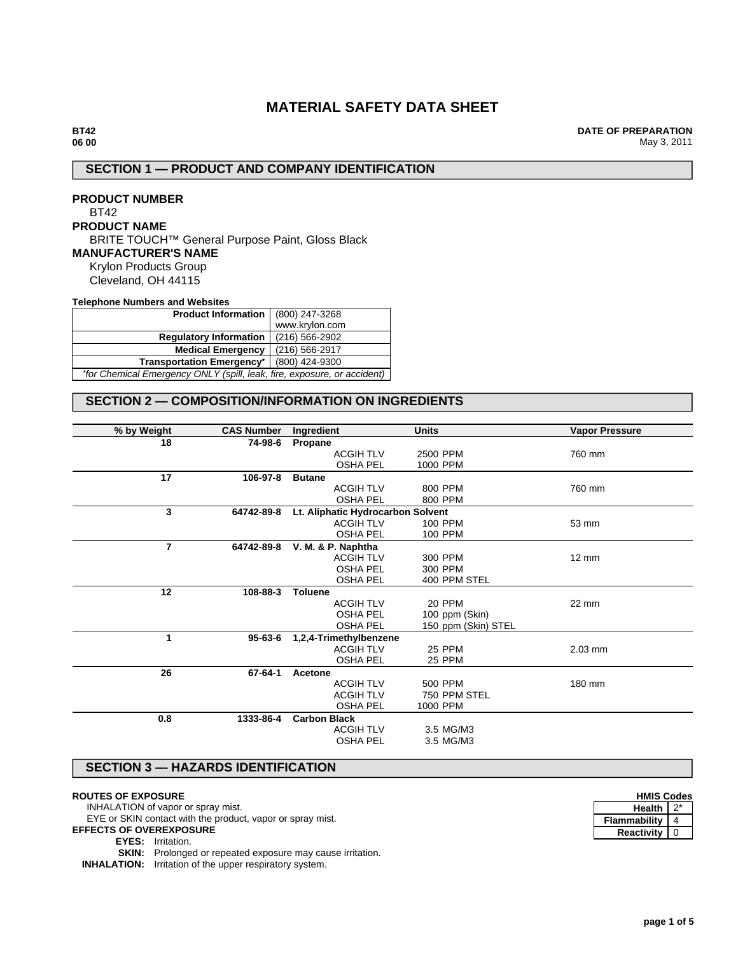# **MATERIAL SAFETY DATA SHEET**

**DATE OF PREPARATION** May 3, 2011

# **SECTION 1 — PRODUCT AND COMPANY IDENTIFICATION**

**PRODUCT NUMBER** BT42 **PRODUCT NAME** BRITE TOUCH™ General Purpose Paint, Gloss Black **MANUFACTURER'S NAME** Krylon Products Group Cleveland, OH 44115

**Telephone Numbers and Websites**

| Product Information   (800) 247-3268                                    |                |  |  |
|-------------------------------------------------------------------------|----------------|--|--|
|                                                                         | www.krylon.com |  |  |
| <b>Regulatory Information</b>                                           | (216) 566-2902 |  |  |
| <b>Medical Emergency</b>                                                | (216) 566-2917 |  |  |
| <b>Transportation Emergency*</b><br>(800) 424-9300                      |                |  |  |
| *for Chemical Emergency ONLY (spill, leak, fire, exposure, or accident) |                |  |  |

# **SECTION 2 — COMPOSITION/INFORMATION ON INGREDIENTS**

| % by Weight  | <b>CAS Number</b> | Ingredient                        | <b>Units</b>        | <b>Vapor Pressure</b> |
|--------------|-------------------|-----------------------------------|---------------------|-----------------------|
| 18           | 74-98-6           | Propane                           |                     |                       |
|              |                   | <b>ACGIH TLV</b>                  | 2500 PPM            | 760 mm                |
|              |                   | <b>OSHA PEL</b>                   | 1000 PPM            |                       |
| 17           | 106-97-8          | <b>Butane</b>                     |                     |                       |
|              |                   | <b>ACGIH TLV</b>                  | 800 PPM             | 760 mm                |
|              |                   | <b>OSHA PEL</b>                   | 800 PPM             |                       |
| $\mathbf{3}$ | 64742-89-8        | Lt. Aliphatic Hydrocarbon Solvent |                     |                       |
|              |                   | <b>ACGIH TLV</b>                  | 100 PPM             | 53 mm                 |
|              |                   | <b>OSHA PEL</b>                   | 100 PPM             |                       |
| 7            | 64742-89-8        | V. M. & P. Naphtha                |                     |                       |
|              |                   | <b>ACGIH TLV</b>                  | 300 PPM             | $12 \text{ mm}$       |
|              |                   | <b>OSHA PEL</b>                   | 300 PPM             |                       |
|              |                   | <b>OSHA PEL</b>                   | 400 PPM STEL        |                       |
| 12           | 108-88-3          | <b>Toluene</b>                    |                     |                       |
|              |                   | <b>ACGIH TLV</b>                  | <b>20 PPM</b>       | 22 mm                 |
|              |                   | <b>OSHA PEL</b>                   | 100 ppm (Skin)      |                       |
|              |                   | <b>OSHA PEL</b>                   | 150 ppm (Skin) STEL |                       |
| 1            | 95-63-6           | 1,2,4-Trimethylbenzene            |                     |                       |
|              |                   | <b>ACGIH TLV</b>                  | <b>25 PPM</b>       | $2.03$ mm             |
|              |                   | <b>OSHA PEL</b>                   | 25 PPM              |                       |
| 26           | 67-64-1           | Acetone                           |                     |                       |
|              |                   | <b>ACGIH TLV</b>                  | 500 PPM             | 180 mm                |
|              |                   | <b>ACGIH TLV</b>                  | 750 PPM STEL        |                       |
|              |                   | <b>OSHA PEL</b>                   | 1000 PPM            |                       |
| 0.8          | 1333-86-4         | <b>Carbon Black</b>               |                     |                       |
|              |                   | <b>ACGIH TLV</b>                  | 3.5 MG/M3           |                       |
|              |                   | <b>OSHA PEL</b>                   | 3.5 MG/M3           |                       |
|              |                   |                                   |                     |                       |

## **SECTION 3 — HAZARDS IDENTIFICATION**

## **ROUTES OF EXPOSURE**

INHALATION of vapor or spray mist. EYE or SKIN contact with the product, vapor or spray mist.

**EFFECTS OF OVEREXPOSURE**

**EYES:** Irritation.

**SKIN:** Prolonged or repeated exposure may cause irritation.

**INHALATION:** Irritation of the upper respiratory system.

| <b>HMIS Codes</b>   |  |  |
|---------------------|--|--|
| <b>Health</b>       |  |  |
| <b>Flammability</b> |  |  |
| <b>Reactivity</b>   |  |  |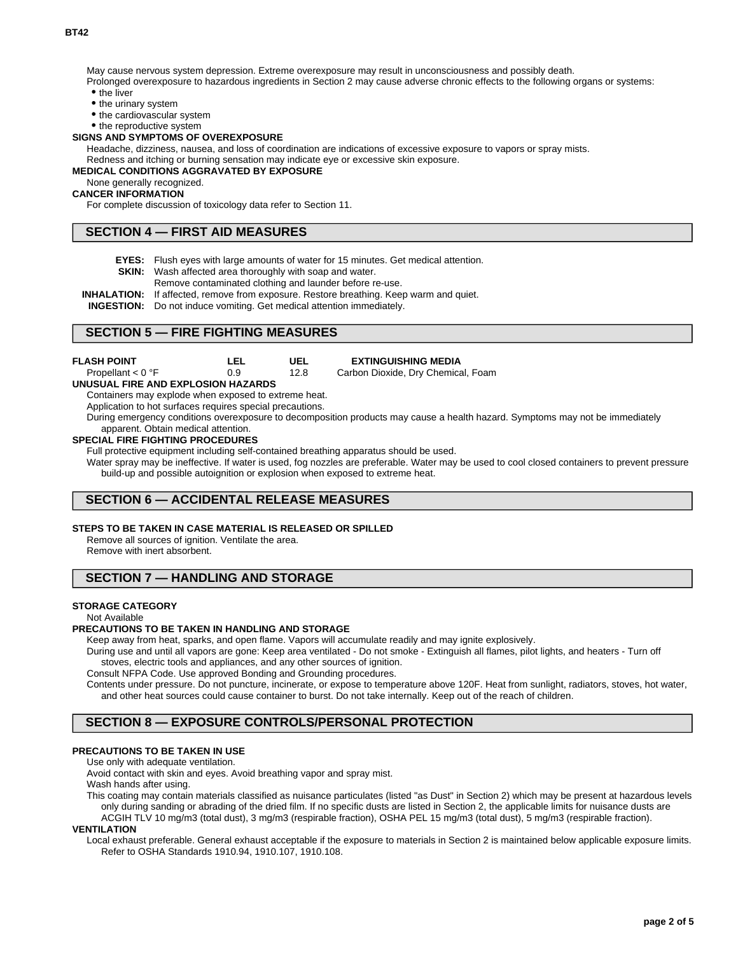May cause nervous system depression. Extreme overexposure may result in unconsciousness and possibly death.

Prolonged overexposure to hazardous ingredients in Section 2 may cause adverse chronic effects to the following organs or systems: • the liver

• the urinary system

• the cardiovascular system

• the reproductive system

#### **SIGNS AND SYMPTOMS OF OVEREXPOSURE**

Headache, dizziness, nausea, and loss of coordination are indications of excessive exposure to vapors or spray mists.

Redness and itching or burning sensation may indicate eye or excessive skin exposure.

#### **MEDICAL CONDITIONS AGGRAVATED BY EXPOSURE**

## None generally recognized.

**CANCER INFORMATION**

For complete discussion of toxicology data refer to Section 11.

# **SECTION 4 — FIRST AID MEASURES**

- **EYES:** Flush eyes with large amounts of water for 15 minutes. Get medical attention.
- **SKIN:** Wash affected area thoroughly with soap and water.
- Remove contaminated clothing and launder before re-use.

**INHALATION:** If affected, remove from exposure. Restore breathing. Keep warm and quiet.

**INGESTION:** Do not induce vomiting. Get medical attention immediately.

## **SECTION 5 — FIRE FIGHTING MEASURES**

| <b>FLASH POINT</b>  | LEL | UEL  | <b>EXTINGUISHING MEDIA</b>         |
|---------------------|-----|------|------------------------------------|
| Propellant $< 0$ °F | 0.9 | 12.8 | Carbon Dioxide, Dry Chemical, Foam |

**UNUSUAL FIRE AND EXPLOSION HAZARDS**

Containers may explode when exposed to extreme heat.

Application to hot surfaces requires special precautions.

During emergency conditions overexposure to decomposition products may cause a health hazard. Symptoms may not be immediately apparent. Obtain medical attention.

#### **SPECIAL FIRE FIGHTING PROCEDURES**

Full protective equipment including self-contained breathing apparatus should be used.

Water spray may be ineffective. If water is used, fog nozzles are preferable. Water may be used to cool closed containers to prevent pressure build-up and possible autoignition or explosion when exposed to extreme heat.

## **SECTION 6 — ACCIDENTAL RELEASE MEASURES**

### **STEPS TO BE TAKEN IN CASE MATERIAL IS RELEASED OR SPILLED**

Remove all sources of ignition. Ventilate the area. Remove with inert absorbent.

## **SECTION 7 — HANDLING AND STORAGE**

#### **STORAGE CATEGORY**

Not Available

#### **PRECAUTIONS TO BE TAKEN IN HANDLING AND STORAGE**

Keep away from heat, sparks, and open flame. Vapors will accumulate readily and may ignite explosively.

During use and until all vapors are gone: Keep area ventilated - Do not smoke - Extinguish all flames, pilot lights, and heaters - Turn off stoves, electric tools and appliances, and any other sources of ignition.

Consult NFPA Code. Use approved Bonding and Grounding procedures.

Contents under pressure. Do not puncture, incinerate, or expose to temperature above 120F. Heat from sunlight, radiators, stoves, hot water, and other heat sources could cause container to burst. Do not take internally. Keep out of the reach of children.

## **SECTION 8 — EXPOSURE CONTROLS/PERSONAL PROTECTION**

## **PRECAUTIONS TO BE TAKEN IN USE**

Use only with adequate ventilation.

Avoid contact with skin and eyes. Avoid breathing vapor and spray mist. Wash hands after using.

This coating may contain materials classified as nuisance particulates (listed "as Dust" in Section 2) which may be present at hazardous levels only during sanding or abrading of the dried film. If no specific dusts are listed in Section 2, the applicable limits for nuisance dusts are ACGIH TLV 10 mg/m3 (total dust), 3 mg/m3 (respirable fraction), OSHA PEL 15 mg/m3 (total dust), 5 mg/m3 (respirable fraction).

### **VENTILATION**

Local exhaust preferable. General exhaust acceptable if the exposure to materials in Section 2 is maintained below applicable exposure limits. Refer to OSHA Standards 1910.94, 1910.107, 1910.108.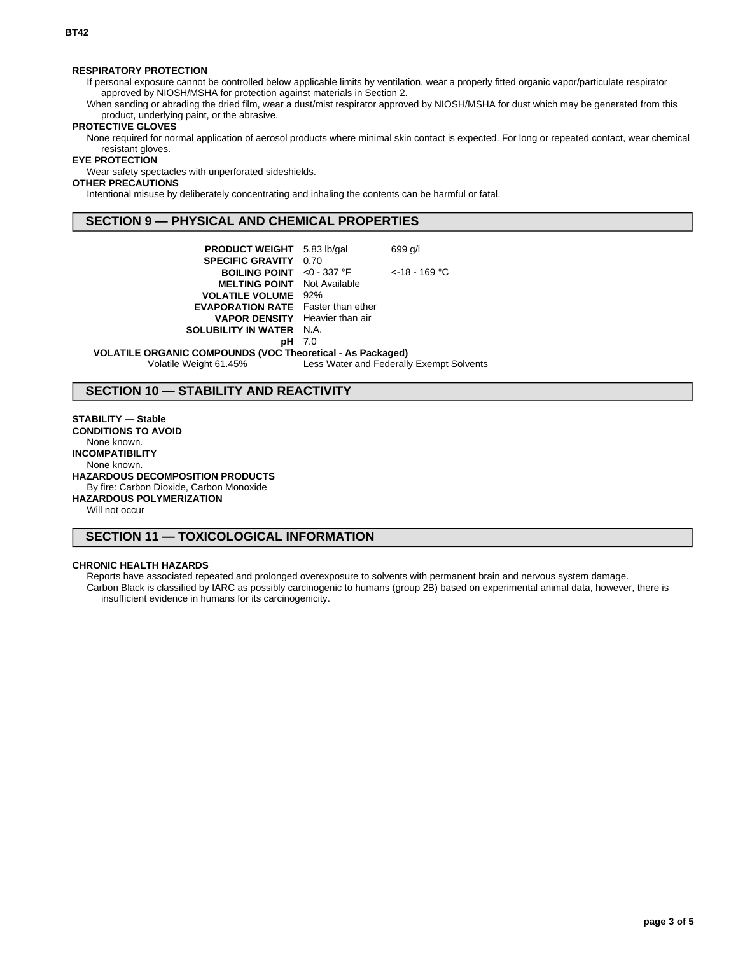## **RESPIRATORY PROTECTION**

If personal exposure cannot be controlled below applicable limits by ventilation, wear a properly fitted organic vapor/particulate respirator approved by NIOSH/MSHA for protection against materials in Section 2.

When sanding or abrading the dried film, wear a dust/mist respirator approved by NIOSH/MSHA for dust which may be generated from this product, underlying paint, or the abrasive.

## **PROTECTIVE GLOVES**

None required for normal application of aerosol products where minimal skin contact is expected. For long or repeated contact, wear chemical resistant gloves.

#### **EYE PROTECTION**

Wear safety spectacles with unperforated sideshields.

## **OTHER PRECAUTIONS**

Intentional misuse by deliberately concentrating and inhaling the contents can be harmful or fatal.

## **SECTION 9 — PHYSICAL AND CHEMICAL PROPERTIES**

| <b>PRODUCT WEIGHT</b> 5.83 lb/gal         |      | 699 g/l          |
|-------------------------------------------|------|------------------|
| <b>SPECIFIC GRAVITY</b>                   | 0.70 |                  |
| <b>BOILING POINT</b> <0 - 337 °F          |      | $<$ -18 - 169 °C |
| <b>MELTING POINT</b> Not Available        |      |                  |
| <b>VOLATILE VOLUME</b>                    | 92%  |                  |
| <b>EVAPORATION RATE</b> Faster than ether |      |                  |
| <b>VAPOR DENSITY</b> Heavier than air     |      |                  |
| <b>SOLUBILITY IN WATER N.A.</b>           |      |                  |
|                                           | 7.0  |                  |
|                                           |      |                  |

#### **VOLATILE ORGANIC COMPOUNDS (VOC Theoretical - As Packaged)**

Volatile Weight 61.45% Less Water and Federally Exempt Solvents

# **SECTION 10 — STABILITY AND REACTIVITY**

## **STABILITY — Stable**

**CONDITIONS TO AVOID** None known. **INCOMPATIBILITY** None known. **HAZARDOUS DECOMPOSITION PRODUCTS** By fire: Carbon Dioxide, Carbon Monoxide **HAZARDOUS POLYMERIZATION** Will not occur

**SECTION 11 — TOXICOLOGICAL INFORMATION**

## **CHRONIC HEALTH HAZARDS**

Reports have associated repeated and prolonged overexposure to solvents with permanent brain and nervous system damage. Carbon Black is classified by IARC as possibly carcinogenic to humans (group 2B) based on experimental animal data, however, there is insufficient evidence in humans for its carcinogenicity.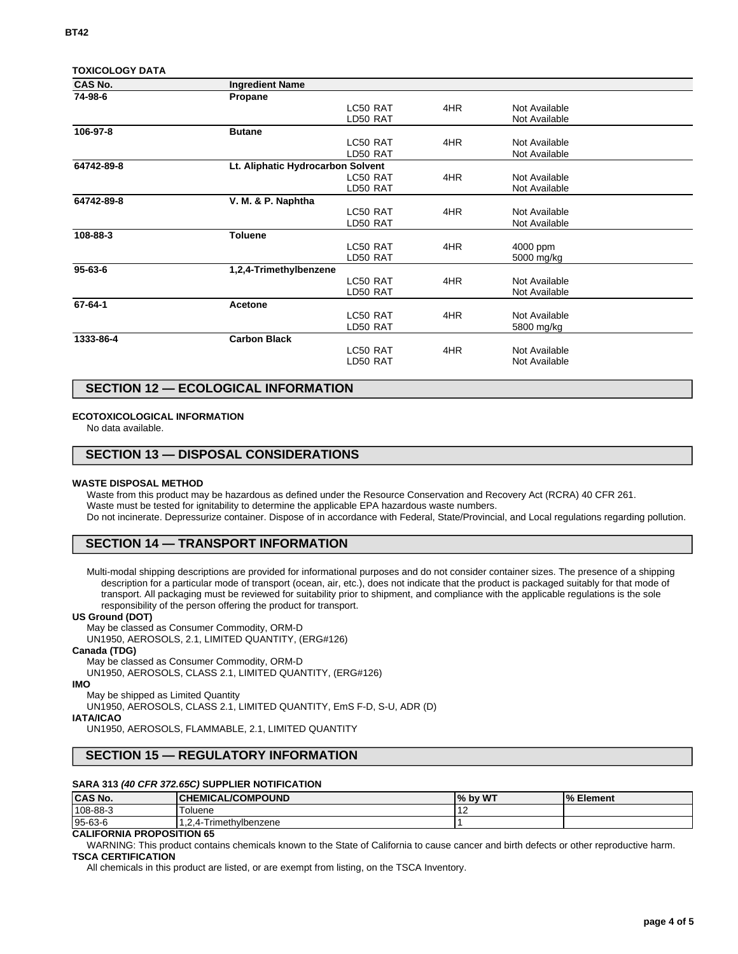| <b>TOXICOLOGY DATA</b> |  |
|------------------------|--|
|                        |  |

| <b>CAS No.</b> | <b>Ingredient Name</b>            |          |     |               |  |
|----------------|-----------------------------------|----------|-----|---------------|--|
| 74-98-6        | Propane                           |          |     |               |  |
|                |                                   | LC50 RAT | 4HR | Not Available |  |
|                |                                   | LD50 RAT |     | Not Available |  |
| 106-97-8       | <b>Butane</b>                     |          |     |               |  |
|                |                                   | LC50 RAT | 4HR | Not Available |  |
|                |                                   | LD50 RAT |     | Not Available |  |
| 64742-89-8     | Lt. Aliphatic Hydrocarbon Solvent |          |     |               |  |
|                |                                   | LC50 RAT | 4HR | Not Available |  |
|                |                                   | LD50 RAT |     | Not Available |  |
| 64742-89-8     | V. M. & P. Naphtha                |          |     |               |  |
|                |                                   | LC50 RAT | 4HR | Not Available |  |
|                |                                   | LD50 RAT |     | Not Available |  |
| 108-88-3       | <b>Toluene</b>                    |          |     |               |  |
|                |                                   | LC50 RAT | 4HR | 4000 ppm      |  |
|                |                                   | LD50 RAT |     | 5000 mg/kg    |  |
| $95 - 63 - 6$  | 1,2,4-Trimethylbenzene            |          |     |               |  |
|                |                                   | LC50 RAT | 4HR | Not Available |  |
|                |                                   | LD50 RAT |     | Not Available |  |
| 67-64-1        | Acetone                           |          |     |               |  |
|                |                                   | LC50 RAT | 4HR | Not Available |  |
|                |                                   | LD50 RAT |     | 5800 mg/kg    |  |
| 1333-86-4      | <b>Carbon Black</b>               |          |     |               |  |
|                |                                   | LC50 RAT | 4HR | Not Available |  |
|                |                                   | LD50 RAT |     | Not Available |  |
|                |                                   |          |     |               |  |

# **SECTION 12 — ECOLOGICAL INFORMATION**

## **ECOTOXICOLOGICAL INFORMATION**

No data available.

## **SECTION 13 — DISPOSAL CONSIDERATIONS**

#### **WASTE DISPOSAL METHOD**

Waste from this product may be hazardous as defined under the Resource Conservation and Recovery Act (RCRA) 40 CFR 261. Waste must be tested for ignitability to determine the applicable EPA hazardous waste numbers. Do not incinerate. Depressurize container. Dispose of in accordance with Federal, State/Provincial, and Local regulations regarding pollution.

## **SECTION 14 — TRANSPORT INFORMATION**

Multi-modal shipping descriptions are provided for informational purposes and do not consider container sizes. The presence of a shipping description for a particular mode of transport (ocean, air, etc.), does not indicate that the product is packaged suitably for that mode of transport. All packaging must be reviewed for suitability prior to shipment, and compliance with the applicable regulations is the sole responsibility of the person offering the product for transport.

#### **US Ground (DOT)**

May be classed as Consumer Commodity, ORM-D

UN1950, AEROSOLS, 2.1, LIMITED QUANTITY, (ERG#126)

#### **Canada (TDG)**

May be classed as Consumer Commodity, ORM-D

UN1950, AEROSOLS, CLASS 2.1, LIMITED QUANTITY, (ERG#126)

## **IMO**

May be shipped as Limited Quantity

UN1950, AEROSOLS, CLASS 2.1, LIMITED QUANTITY, EmS F-D, S-U, ADR (D)

## **IATA/ICAO**

UN1950, AEROSOLS, FLAMMABLE, 2.1, LIMITED QUANTITY

## **SECTION 15 — REGULATORY INFORMATION**

## **SARA 313 (40 CFR 372.65C) SUPPLIER NOTIFICATION**

| <b>CAS No.</b> | <b>CHEMICAL/COMPOUND</b>     | I% by WT | <b>M</b> Element |
|----------------|------------------------------|----------|------------------|
| 108-88-3       | Toluene                      | . .      |                  |
| 95-63-6        | Trimethvlbenzene<br>$.2.4 -$ |          |                  |

# **CALIFORNIA PROPOSITION 65**

WARNING: This product contains chemicals known to the State of California to cause cancer and birth defects or other reproductive harm. **TSCA CERTIFICATION**

All chemicals in this product are listed, or are exempt from listing, on the TSCA Inventory.